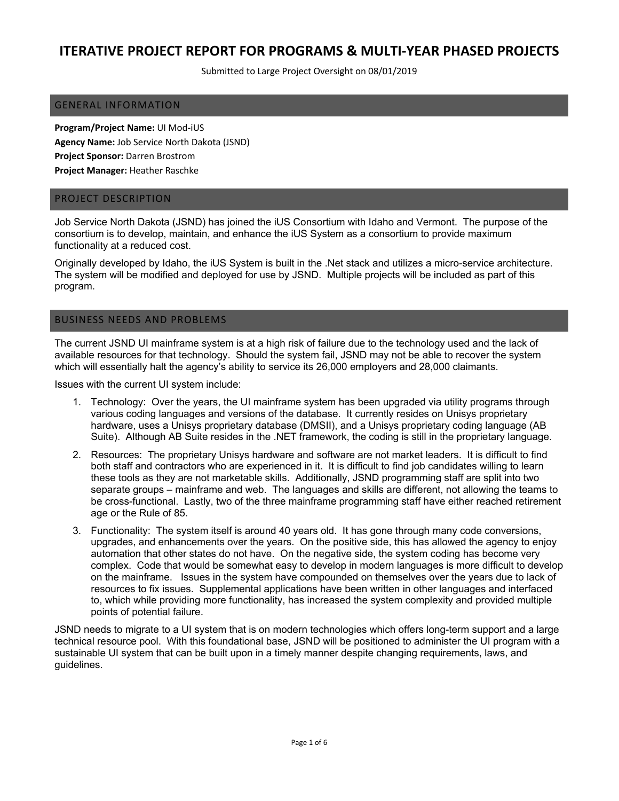Submitted to Large Project Oversight on 08/01/2019

#### GENERAL INFORMATION

**Program/Project Name:** UI Mod‐iUS **Agency Name:** Job Service North Dakota (JSND) **Project Sponsor:** Darren Brostrom **Project Manager:** Heather Raschke

#### PROJECT DESCRIPTION

Job Service North Dakota (JSND) has joined the iUS Consortium with Idaho and Vermont. The purpose of the consortium is to develop, maintain, and enhance the iUS System as a consortium to provide maximum functionality at a reduced cost.

Originally developed by Idaho, the iUS System is built in the .Net stack and utilizes a micro-service architecture. The system will be modified and deployed for use by JSND. Multiple projects will be included as part of this program.

#### BUSINESS NEEDS AND PROBLEMS

The current JSND UI mainframe system is at a high risk of failure due to the technology used and the lack of available resources for that technology. Should the system fail, JSND may not be able to recover the system which will essentially halt the agency's ability to service its 26,000 employers and 28,000 claimants.

Issues with the current UI system include:

- 1. Technology: Over the years, the UI mainframe system has been upgraded via utility programs through various coding languages and versions of the database. It currently resides on Unisys proprietary hardware, uses a Unisys proprietary database (DMSII), and a Unisys proprietary coding language (AB Suite). Although AB Suite resides in the .NET framework, the coding is still in the proprietary language.
- 2. Resources: The proprietary Unisys hardware and software are not market leaders. It is difficult to find both staff and contractors who are experienced in it. It is difficult to find job candidates willing to learn these tools as they are not marketable skills. Additionally, JSND programming staff are split into two separate groups – mainframe and web. The languages and skills are different, not allowing the teams to be cross-functional. Lastly, two of the three mainframe programming staff have either reached retirement age or the Rule of 85.
- 3. Functionality: The system itself is around 40 years old. It has gone through many code conversions, upgrades, and enhancements over the years. On the positive side, this has allowed the agency to enjoy automation that other states do not have. On the negative side, the system coding has become very complex. Code that would be somewhat easy to develop in modern languages is more difficult to develop on the mainframe. Issues in the system have compounded on themselves over the years due to lack of resources to fix issues. Supplemental applications have been written in other languages and interfaced to, which while providing more functionality, has increased the system complexity and provided multiple points of potential failure.

JSND needs to migrate to a UI system that is on modern technologies which offers long-term support and a large technical resource pool. With this foundational base, JSND will be positioned to administer the UI program with a sustainable UI system that can be built upon in a timely manner despite changing requirements, laws, and guidelines.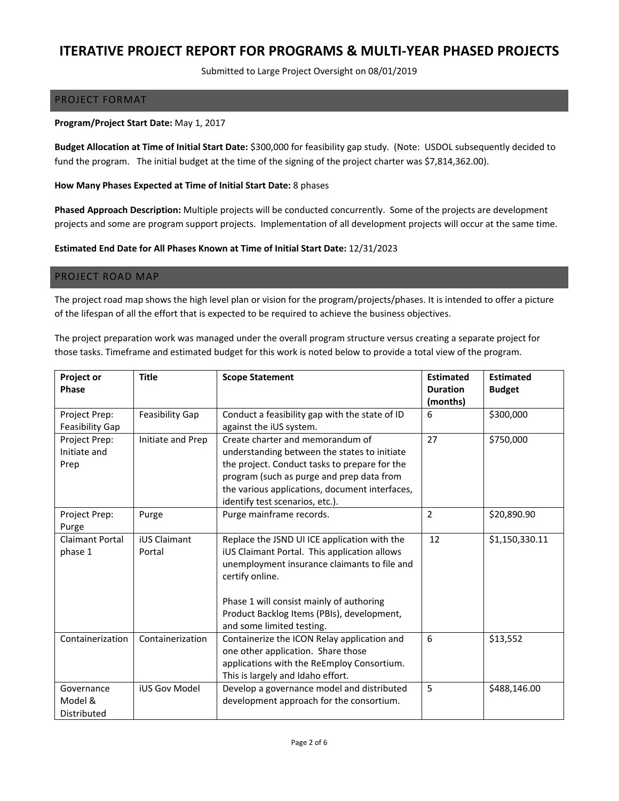Submitted to Large Project Oversight on 08/01/2019

#### PROJECT FORMAT

#### **Program/Project Start Date:** May 1, 2017

**Budget Allocation at Time of Initial Start Date:** \$300,000 for feasibility gap study. (Note: USDOL subsequently decided to fund the program. The initial budget at the time of the signing of the project charter was \$7,814,362.00).

#### **How Many Phases Expected at Time of Initial Start Date:** 8 phases

**Phased Approach Description:** Multiple projects will be conducted concurrently. Some of the projects are development projects and some are program support projects. Implementation of all development projects will occur at the same time.

#### **Estimated End Date for All Phases Known at Time of Initial Start Date:** 12/31/2023

#### PROJECT ROAD MAP

The project road map shows the high level plan or vision for the program/projects/phases. It is intended to offer a picture of the lifespan of all the effort that is expected to be required to achieve the business objectives.

The project preparation work was managed under the overall program structure versus creating a separate project for those tasks. Timeframe and estimated budget for this work is noted below to provide a total view of the program.

| <b>Project or</b><br><b>Phase</b>       | <b>Title</b>                  | <b>Scope Statement</b>                                                                                                                                                                                                                                                                 | <b>Estimated</b><br><b>Duration</b><br>(months) | <b>Estimated</b><br><b>Budget</b> |
|-----------------------------------------|-------------------------------|----------------------------------------------------------------------------------------------------------------------------------------------------------------------------------------------------------------------------------------------------------------------------------------|-------------------------------------------------|-----------------------------------|
| Project Prep:<br><b>Feasibility Gap</b> | Feasibility Gap               | Conduct a feasibility gap with the state of ID<br>against the iUS system.                                                                                                                                                                                                              | 6                                               | \$300,000                         |
| Project Prep:<br>Initiate and<br>Prep   | Initiate and Prep             | Create charter and memorandum of<br>understanding between the states to initiate<br>the project. Conduct tasks to prepare for the<br>program (such as purge and prep data from<br>the various applications, document interfaces,<br>identify test scenarios, etc.).                    | 27                                              | \$750,000                         |
| Project Prep:<br>Purge                  | Purge                         | Purge mainframe records.                                                                                                                                                                                                                                                               | $\overline{2}$                                  | \$20,890.90                       |
| <b>Claimant Portal</b><br>phase 1       | <b>iUS Claimant</b><br>Portal | Replace the JSND UI ICE application with the<br>iUS Claimant Portal. This application allows<br>unemployment insurance claimants to file and<br>certify online.<br>Phase 1 will consist mainly of authoring<br>Product Backlog Items (PBIs), development,<br>and some limited testing. | 12                                              | \$1,150,330.11                    |
| Containerization                        | Containerization              | Containerize the ICON Relay application and<br>one other application. Share those<br>applications with the ReEmploy Consortium.<br>This is largely and Idaho effort.                                                                                                                   | 6                                               | \$13,552                          |
| Governance<br>Model &<br>Distributed    | <b>iUS Gov Model</b>          | Develop a governance model and distributed<br>development approach for the consortium.                                                                                                                                                                                                 | 5                                               | \$488,146.00                      |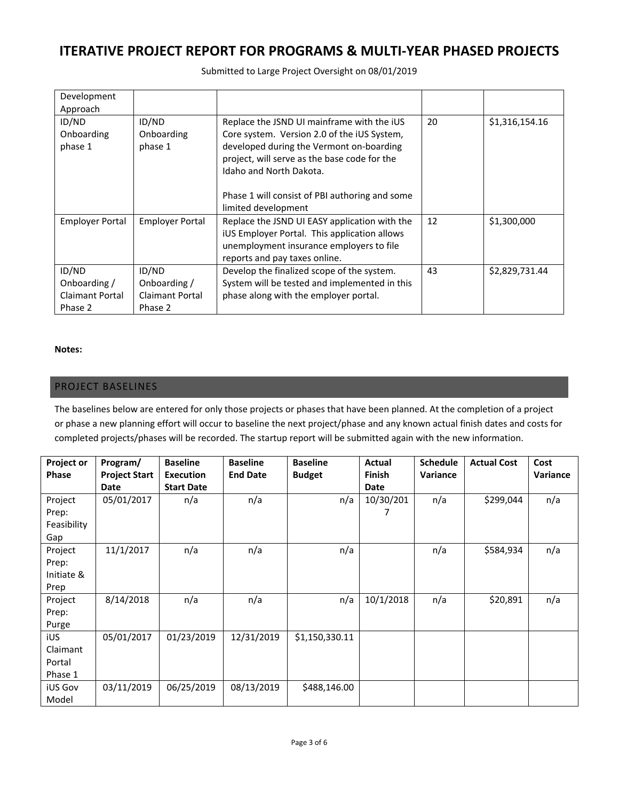Submitted to Large Project Oversight on 08/01/2019

| Development            |                        |                                                |    |                |
|------------------------|------------------------|------------------------------------------------|----|----------------|
| Approach               |                        |                                                |    |                |
| ID/ND                  | ID/ND                  | Replace the JSND UI mainframe with the iUS     | 20 | \$1,316,154.16 |
| Onboarding             | Onboarding             | Core system. Version 2.0 of the iUS System,    |    |                |
| phase 1                | phase 1                | developed during the Vermont on-boarding       |    |                |
|                        |                        | project, will serve as the base code for the   |    |                |
|                        |                        | Idaho and North Dakota.                        |    |                |
|                        |                        |                                                |    |                |
|                        |                        | Phase 1 will consist of PBI authoring and some |    |                |
|                        |                        | limited development                            |    |                |
| <b>Employer Portal</b> | <b>Employer Portal</b> | Replace the JSND UI EASY application with the  | 12 | \$1,300,000    |
|                        |                        | iUS Employer Portal. This application allows   |    |                |
|                        |                        | unemployment insurance employers to file       |    |                |
|                        |                        | reports and pay taxes online.                  |    |                |
| ID/ND                  | ID/ND                  | Develop the finalized scope of the system.     | 43 | \$2,829,731.44 |
| Onboarding/            | Onboarding /           | System will be tested and implemented in this  |    |                |
| <b>Claimant Portal</b> | <b>Claimant Portal</b> | phase along with the employer portal.          |    |                |
| Phase 2                | Phase 2                |                                                |    |                |

#### **Notes:**

### PROJECT BASELINES

The baselines below are entered for only those projects or phases that have been planned. At the completion of a project or phase a new planning effort will occur to baseline the next project/phase and any known actual finish dates and costs for completed projects/phases will be recorded. The startup report will be submitted again with the new information.

| Project or<br><b>Phase</b>             | Program/<br><b>Project Start</b> | <b>Baseline</b><br><b>Execution</b> | <b>Baseline</b><br><b>End Date</b> | <b>Baseline</b><br><b>Budget</b> | Actual<br><b>Finish</b> | <b>Schedule</b><br>Variance | <b>Actual Cost</b> | Cost<br>Variance |
|----------------------------------------|----------------------------------|-------------------------------------|------------------------------------|----------------------------------|-------------------------|-----------------------------|--------------------|------------------|
|                                        | Date                             | <b>Start Date</b>                   |                                    |                                  | Date                    |                             |                    |                  |
| Project<br>Prep:<br>Feasibility<br>Gap | 05/01/2017                       | n/a                                 | n/a                                | n/a                              | 10/30/201               | n/a                         | \$299,044          | n/a              |
| Project<br>Prep:<br>Initiate &<br>Prep | 11/1/2017                        | n/a                                 | n/a                                | n/a                              |                         | n/a                         | \$584,934          | n/a              |
| Project<br>Prep:<br>Purge              | 8/14/2018                        | n/a                                 | n/a                                | n/a                              | 10/1/2018               | n/a                         | \$20,891           | n/a              |
| iUS<br>Claimant<br>Portal<br>Phase 1   | 05/01/2017                       | 01/23/2019                          | 12/31/2019                         | \$1,150,330.11                   |                         |                             |                    |                  |
| <b>iUS Gov</b><br>Model                | 03/11/2019                       | 06/25/2019                          | 08/13/2019                         | \$488,146.00                     |                         |                             |                    |                  |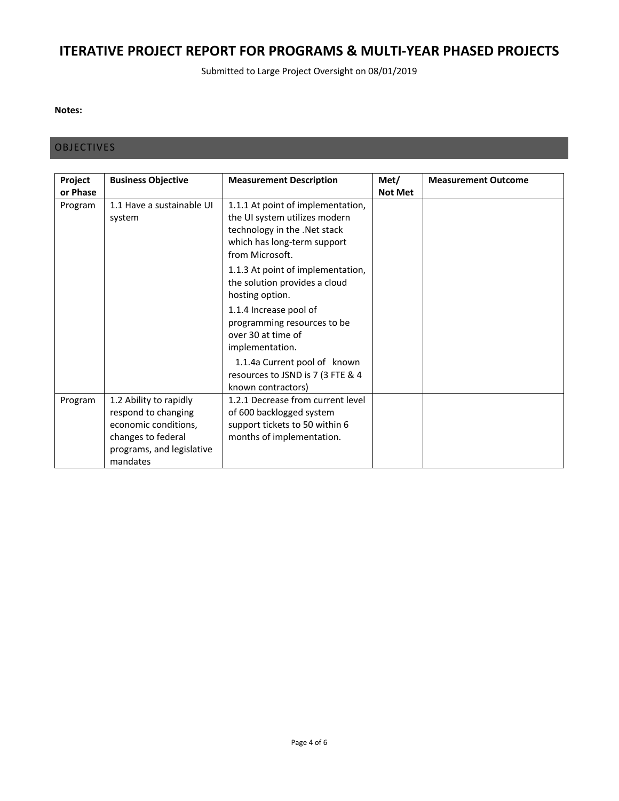Submitted to Large Project Oversight on 08/01/2019

#### **Notes:**

### **OBJECTIVES**

| Project<br>or Phase | <b>Business Objective</b>                                                                                                            | <b>Measurement Description</b>                                                                                                                       | Met/<br><b>Not Met</b> | <b>Measurement Outcome</b> |
|---------------------|--------------------------------------------------------------------------------------------------------------------------------------|------------------------------------------------------------------------------------------------------------------------------------------------------|------------------------|----------------------------|
| Program             | 1.1 Have a sustainable UI<br>system                                                                                                  | 1.1.1 At point of implementation,<br>the UI system utilizes modern<br>technology in the .Net stack<br>which has long-term support<br>from Microsoft. |                        |                            |
|                     |                                                                                                                                      | 1.1.3 At point of implementation,<br>the solution provides a cloud<br>hosting option.                                                                |                        |                            |
|                     |                                                                                                                                      | 1.1.4 Increase pool of<br>programming resources to be<br>over 30 at time of<br>implementation.                                                       |                        |                            |
|                     |                                                                                                                                      | 1.1.4a Current pool of known<br>resources to JSND is 7 (3 FTE & 4<br>known contractors)                                                              |                        |                            |
| Program             | 1.2 Ability to rapidly<br>respond to changing<br>economic conditions,<br>changes to federal<br>programs, and legislative<br>mandates | 1.2.1 Decrease from current level<br>of 600 backlogged system<br>support tickets to 50 within 6<br>months of implementation.                         |                        |                            |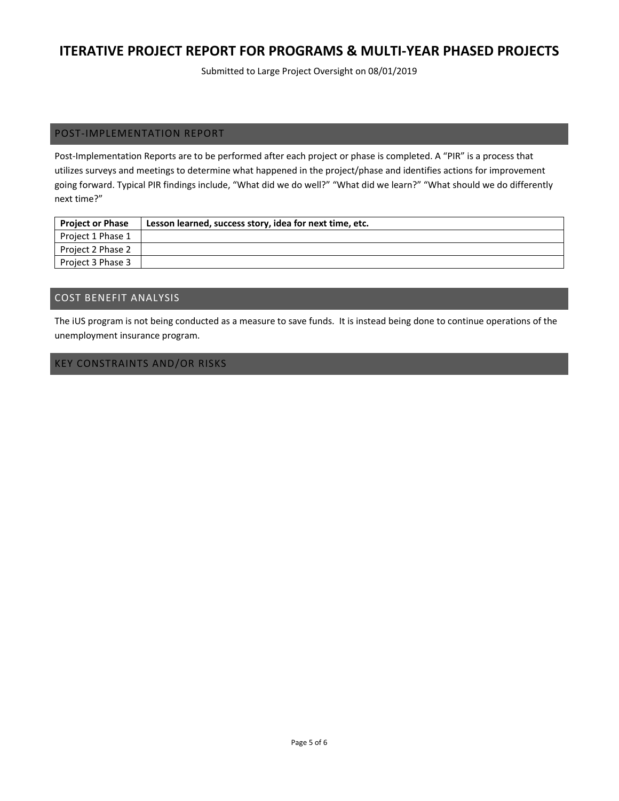Submitted to Large Project Oversight on 08/01/2019

### POST‐IMPLEMENTATION REPORT

Post-Implementation Reports are to be performed after each project or phase is completed. A "PIR" is a process that utilizes surveys and meetings to determine what happened in the project/phase and identifies actions for improvement going forward. Typical PIR findings include, "What did we do well?" "What did we learn?" "What should we do differently next time?"

| <b>Project or Phase</b> | Lesson learned, success story, idea for next time, etc. |
|-------------------------|---------------------------------------------------------|
| Project 1 Phase 1       |                                                         |
| Project 2 Phase 2       |                                                         |
| Project 3 Phase 3       |                                                         |

### COST BENEFIT ANALYSIS

The iUS program is not being conducted as a measure to save funds. It is instead being done to continue operations of the unemployment insurance program.

### KEY CONSTRAINTS AND/OR RISKS